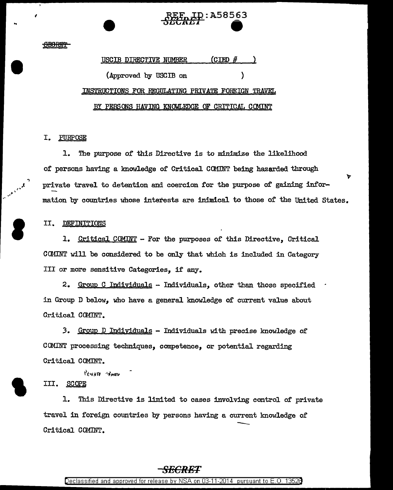# **D:A58563**

### <del>SRADIN</del>

## (CIBD # USCIB DIRECTIVE NUMBER (Approved by USCIB on INSTRUCTIONS FOR REGULATING PRIVATE FOREIGN TRAVEL BY PERSONS HAVING KNOWLEDGE OF CRITICAL COMINT

### I. PURPOSE

The purpose of this Directive is to minimize the likelihood 1. of persons having a knowledge of Critical COMINT being hazarded through ኮ private travel to detention and coercion for the purpose of gaining information by countries whose interests are inimical to those of the United States.

### II. **DEFINITIONS**

1. Critical COMINT - For the purposes of this Directive, Critical COMINT will be considered to be only that which is included in Category III or more sensitive Categories. if any.

2. Group C Individuals - Individuals, other than those specified in Group D below, who have a general knowledge of current value about Critical COMINT.

3. Group D Individuals - Individuals with precise knowledge of COMINT processing techniques, competence, or potential regarding Critical COMINT.

PRIVATE TRAVEL

### III. **SCOPE**

1. This Directive is limited to cases involving control of private travel in foreign countries by persons having a current knowledge of Critical COMINT.

### <del>SECRET</del>

Declassified and approved for release by NSA on 03-11-2014 pursuant to E.O. 13528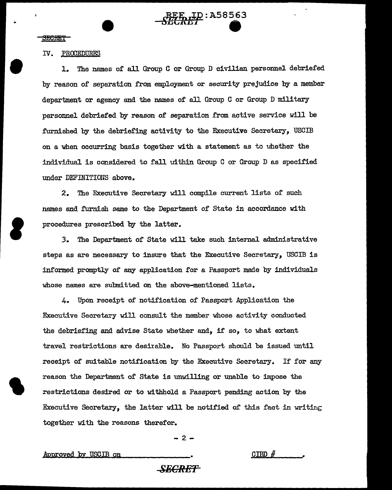<u>LD</u>: A58563

..

•

**S** 

### IV. PROCEDURES

1. The names of all Group C or Group D civilian personnel debriefed by reason of separation from employment or security prejudice by a member department or agency and the names of all Group C or Group D military personnel debriefed by reason of separation from active service will be furnished by the debriefing activity to the Executive Secretary, USCIB on a when occurring basis together with a statement as to uhether the individual is considered to fall uithin Group C or Group D as specified under DEFINITIONS above.

2. The Executive Secretary will compile current lists of such names and furnish same to the Department of State in accordance with procedures prescribed by the latter.

*3.* The Department of State will take such internal administrative steps as are necessary to insure that the Executive Secretary, USCIB is informed promptly of any application for a Passport made by individuals whose names are submitted on the above-mentioned lists.

4. Upon receipt of notification of Passport Application the Executive Secretary will consult the member whose activity conducted the debriefing and advise State whether and, if so, to what extent travel restrictions are desirable. No Passport should be issued until receipt of suitable notification by the Executive Secretary. If for any reason the Department of State is unwilling or unable to impose the restrictions desired or to withhold a Passport pending action by the Executive Secretary, the latter will be notified of this fact in writing together with the reasons therefor.

-2-

Approved by USCIB on

 $CIBD \#$ 

### *SECRET*